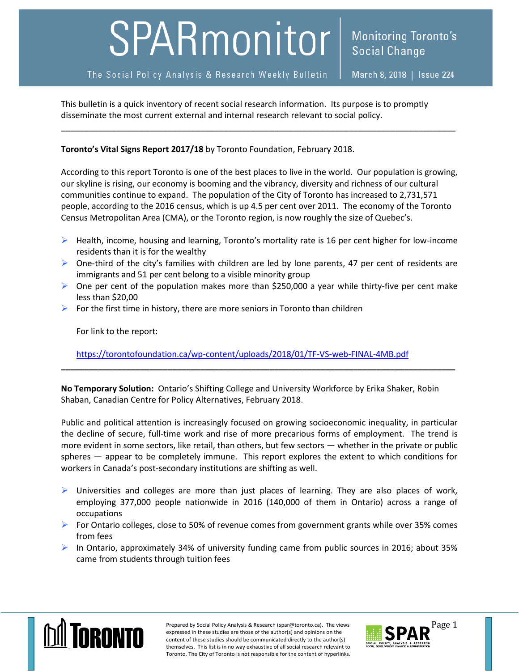## SPARmonitor

The Social Policy Analysis & Research Weekly Bulletin

March 8, 2018 | Issue 224

This bulletin is a quick inventory of recent social research information. Its purpose is to promptly disseminate the most current external and internal research relevant to social policy.

## **Toronto's Vital Signs Report 2017/18** by Toronto Foundation, February 2018.

According to this report Toronto is one of the best places to live in the world. Our population is growing, our skyline is rising, our economy is booming and the vibrancy, diversity and richness of our cultural communities continue to expand. The population of the City of Toronto has increased to 2,731,571 people, according to the 2016 census, which is up 4.5 per cent over 2011. The economy of the Toronto Census Metropolitan Area (CMA), or the Toronto region, is now roughly the size of Quebec's.

\_\_\_\_\_\_\_\_\_\_\_\_\_\_\_\_\_\_\_\_\_\_\_\_\_\_\_\_\_\_\_\_\_\_\_\_\_\_\_\_\_\_\_\_\_\_\_\_\_\_\_\_\_\_\_\_\_\_\_\_\_\_\_\_\_\_\_\_\_\_\_\_\_\_\_\_\_\_\_\_\_\_\_\_\_

- $\triangleright$  Health, income, housing and learning, Toronto's mortality rate is 16 per cent higher for low-income residents than it is for the wealthy
- $\triangleright$  One-third of the city's families with children are led by lone parents, 47 per cent of residents are immigrants and 51 per cent belong to a visible minority group
- $\triangleright$  One per cent of the population makes more than \$250,000 a year while thirty-five per cent make less than \$20,00
- $\triangleright$  For the first time in history, there are more seniors in Toronto than children

For link to the report:

<https://torontofoundation.ca/wp-content/uploads/2018/01/TF-VS-web-FINAL-4MB.pdf>

**No Temporary Solution:** Ontario's Shifting College and University Workforce by Erika Shaker, Robin Shaban, Canadian Centre for Policy Alternatives, February 2018.

**\_\_\_\_\_\_\_\_\_\_\_\_\_\_\_\_\_\_\_\_\_\_\_\_\_\_\_\_\_\_\_\_\_\_\_\_\_\_\_\_\_\_\_\_\_\_\_\_\_\_\_\_\_\_\_\_\_\_\_\_\_\_\_\_\_\_\_\_\_\_\_\_\_\_\_\_\_\_\_\_\_\_\_\_\_**

Public and political attention is increasingly focused on growing socioeconomic inequality, in particular the decline of secure, full-time work and rise of more precarious forms of employment. The trend is more evident in some sectors, like retail, than others, but few sectors — whether in the private or public spheres — appear to be completely immune. This report explores the extent to which conditions for workers in Canada's post-secondary institutions are shifting as well.

- $\triangleright$  Universities and colleges are more than just places of learning. They are also places of work, employing 377,000 people nationwide in 2016 (140,000 of them in Ontario) across a range of occupations
- For Ontario colleges, close to 50% of revenue comes from government grants while over 35% comes from fees
- $\triangleright$  In Ontario, approximately 34% of university funding came from public sources in 2016; about 35% came from students through tuition fees



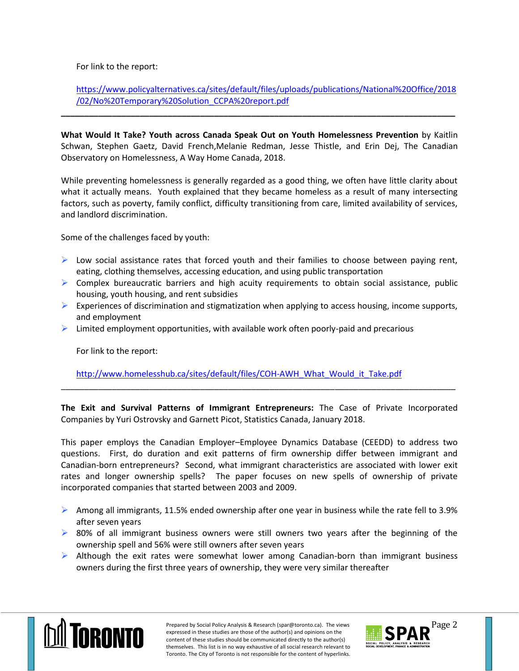For link to the report:

## [https://www.policyalternatives.ca/sites/default/files/uploads/publications/National%20Office/2018](https://www.policyalternatives.ca/sites/default/files/uploads/publications/National%20Office/2018/02/No%20Temporary%20Solution_CCPA%20report.pdf) [/02/No%20Temporary%20Solution\\_CCPA%20report.pdf](https://www.policyalternatives.ca/sites/default/files/uploads/publications/National%20Office/2018/02/No%20Temporary%20Solution_CCPA%20report.pdf)

**What Would It Take? Youth across Canada Speak Out on Youth Homelessness Prevention** by Kaitlin Schwan, Stephen Gaetz, David French,Melanie Redman, Jesse Thistle, and Erin Dej, The Canadian Observatory on Homelessness, A Way Home Canada, 2018.

**\_\_\_\_\_\_\_\_\_\_\_\_\_\_\_\_\_\_\_\_\_\_\_\_\_\_\_\_\_\_\_\_\_\_\_\_\_\_\_\_\_\_\_\_\_\_\_\_\_\_\_\_\_\_\_\_\_\_\_\_\_\_\_\_\_\_\_\_\_\_\_\_\_\_\_\_\_\_\_\_\_\_\_\_\_**

While preventing homelessness is generally regarded as a good thing, we often have little clarity about what it actually means. Youth explained that they became homeless as a result of many intersecting factors, such as poverty, family conflict, difficulty transitioning from care, limited availability of services, and landlord discrimination.

Some of the challenges faced by youth:

- $\triangleright$  Low social assistance rates that forced youth and their families to choose between paying rent, eating, clothing themselves, accessing education, and using public transportation
- $\triangleright$  Complex bureaucratic barriers and high acuity requirements to obtain social assistance, public housing, youth housing, and rent subsidies
- Experiences of discrimination and stigmatization when applying to access housing, income supports, and employment
- $\triangleright$  Limited employment opportunities, with available work often poorly-paid and precarious

For link to the report:

[http://www.homelesshub.ca/sites/default/files/COH-AWH\\_What\\_Would\\_it\\_Take.pdf](http://www.homelesshub.ca/sites/default/files/COH-AWH_What_Would_it_Take.pdf)

**The Exit and Survival Patterns of Immigrant Entrepreneurs:** The Case of Private Incorporated Companies by Yuri Ostrovsky and Garnett Picot, Statistics Canada, January 2018.

\_\_\_\_\_\_\_\_\_\_\_\_\_\_\_\_\_\_\_\_\_\_\_\_\_\_\_\_\_\_\_\_\_\_\_\_\_\_\_\_\_\_\_\_\_\_\_\_\_\_\_\_\_\_\_\_\_\_\_\_\_\_\_\_\_\_\_\_\_\_\_\_\_\_\_\_\_\_\_\_\_\_\_\_\_

This paper employs the Canadian Employer–Employee Dynamics Database (CEEDD) to address two questions. First, do duration and exit patterns of firm ownership differ between immigrant and Canadian-born entrepreneurs? Second, what immigrant characteristics are associated with lower exit rates and longer ownership spells? The paper focuses on new spells of ownership of private incorporated companies that started between 2003 and 2009.

- Among all immigrants, 11.5% ended ownership after one year in business while the rate fell to 3.9% after seven years
- $\triangleright$  80% of all immigrant business owners were still owners two years after the beginning of the ownership spell and 56% were still owners after seven years
- $\triangleright$  Although the exit rates were somewhat lower among Canadian-born than immigrant business owners during the first three years of ownership, they were very similar thereafter